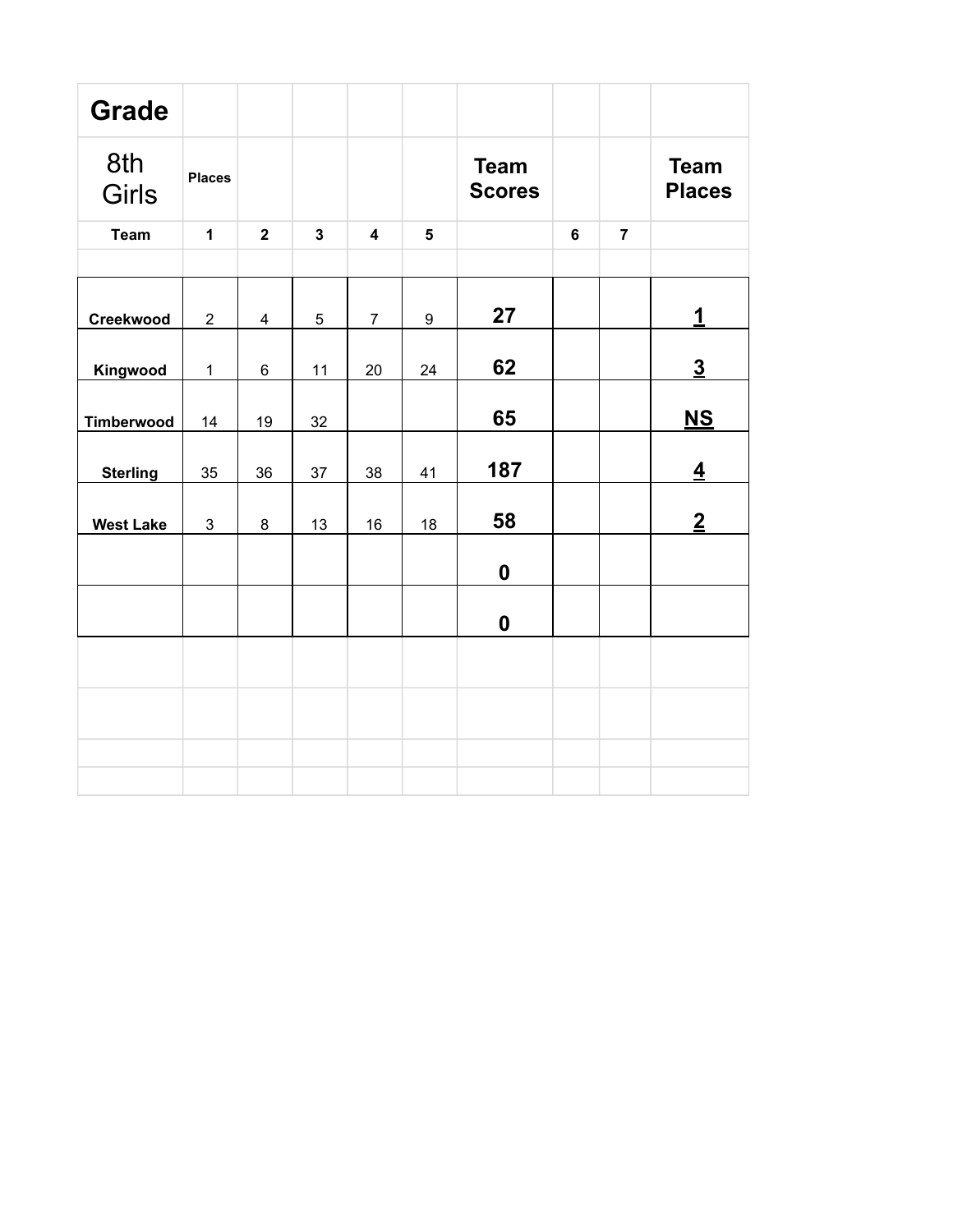| <b>Grade</b>     |                |                |                         |                         |                         |                              |                |                |                              |
|------------------|----------------|----------------|-------------------------|-------------------------|-------------------------|------------------------------|----------------|----------------|------------------------------|
| 8th<br>Girls     | <b>Places</b>  |                |                         |                         |                         | <b>Team</b><br><b>Scores</b> |                |                | <b>Team</b><br><b>Places</b> |
| <b>Team</b>      | $\mathbf{1}$   | $\overline{2}$ | $\overline{\mathbf{3}}$ | $\overline{\mathbf{4}}$ | $\overline{\mathbf{5}}$ |                              | $6\phantom{a}$ | $\overline{7}$ |                              |
|                  |                |                |                         |                         |                         |                              |                |                |                              |
| Creekwood        | $\overline{2}$ | $\overline{4}$ | 5                       | $\overline{7}$          | 9                       | 27                           |                |                | $\mathbf 1$                  |
| Kingwood         | $\mathbf{1}$   | 6              | 11                      | 20                      | 24                      | 62                           |                |                | $\overline{3}$               |
| Timberwood       | 14             | 19             | 32                      |                         |                         | 65                           |                |                | $NS$                         |
| <b>Sterling</b>  | 35             | 36             | 37                      | 38                      | 41                      | 187                          |                |                | $\overline{4}$               |
| <b>West Lake</b> | 3              | 8              | 13                      | 16                      | 18                      | 58                           |                |                | $\overline{2}$               |
|                  |                |                |                         |                         |                         | $\boldsymbol{0}$             |                |                |                              |
|                  |                |                |                         |                         |                         | $\boldsymbol{0}$             |                |                |                              |
|                  |                |                |                         |                         |                         |                              |                |                |                              |
|                  |                |                |                         |                         |                         |                              |                |                |                              |
|                  |                |                |                         |                         |                         |                              |                |                |                              |
|                  |                |                |                         |                         |                         |                              |                |                |                              |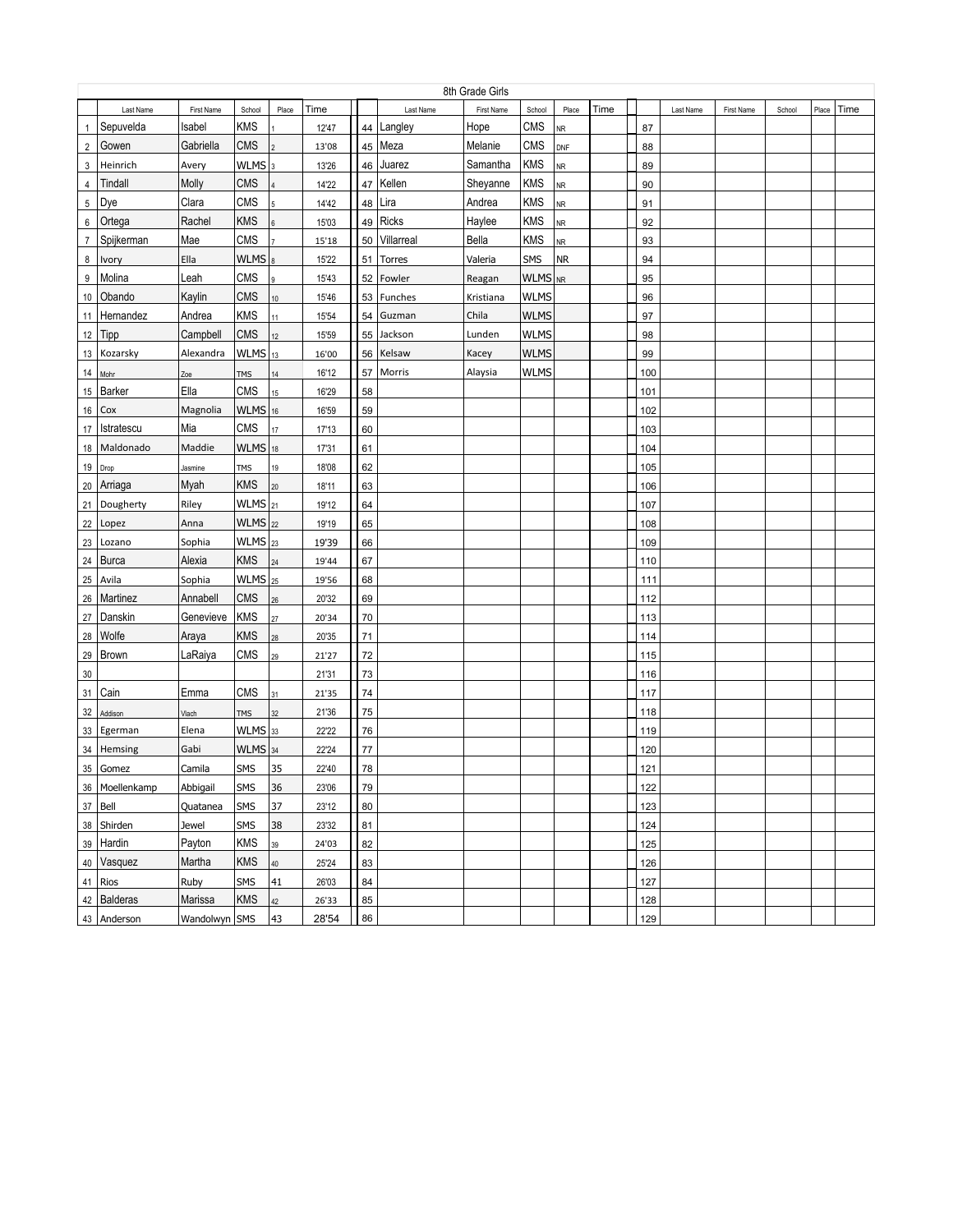|                |                |               |                      |        |       |    |            | 8th Grade Girls |             |            |      |     |           |            |        |       |      |
|----------------|----------------|---------------|----------------------|--------|-------|----|------------|-----------------|-------------|------------|------|-----|-----------|------------|--------|-------|------|
|                | Last Name      | First Name    | School               | Place  | Time  |    | Last Name  | First Name      | School      | Place      | Time |     | Last Name | First Name | School | Place | Time |
| $\mathbf{1}$   | Sepuvelda      | Isabel        | <b>KMS</b>           |        | 12'47 | 44 | Langley    | Hope            | <b>CMS</b>  | <b>NR</b>  |      | 87  |           |            |        |       |      |
| $\overline{2}$ | Gowen          | Gabriella     | <b>CMS</b>           |        | 13'08 |    | 45 Meza    | Melanie         | <b>CMS</b>  | <b>DNF</b> |      | 88  |           |            |        |       |      |
| 3              | Heinrich       | Avery         | $WLMS$ <sub>3</sub>  |        | 13'26 | 46 | Juarez     | Samantha        | <b>KMS</b>  | <b>NR</b>  |      | 89  |           |            |        |       |      |
| 4              | Tindall        | Molly         | <b>CMS</b>           |        | 14'22 | 47 | Kellen     | Sheyanne        | <b>KMS</b>  | <b>NR</b>  |      | 90  |           |            |        |       |      |
| 5              | Dye            | Clara         | <b>CMS</b>           |        | 14'42 | 48 | Lira       | Andrea          | <b>KMS</b>  | <b>NR</b>  |      | 91  |           |            |        |       |      |
| 6              | Ortega         | Rachel        | <b>KMS</b>           | 6      | 15'03 | 49 | Ricks      | Haylee          | <b>KMS</b>  | <b>NR</b>  |      | 92  |           |            |        |       |      |
| $\overline{7}$ | Spijkerman     | Mae           | CMS                  |        | 15'18 | 50 | Villarreal | Bella           | <b>KMS</b>  | <b>NR</b>  |      | 93  |           |            |        |       |      |
| 8              | <b>Ivory</b>   | Ella          | $WLMS _8$            |        | 15'22 | 51 | Torres     | Valeria         | <b>SMS</b>  | <b>NR</b>  |      | 94  |           |            |        |       |      |
| 9              | Molina         | Leah          | <b>CMS</b>           |        | 15'43 | 52 | Fowler     | Reagan          | WLMS NR     |            |      | 95  |           |            |        |       |      |
|                | 10 Obando      | Kaylin        | <b>CMS</b>           | 10     | 15'46 |    | 53 Funches | Kristiana       | <b>WLMS</b> |            |      | 96  |           |            |        |       |      |
| 11             | Hernandez      | Andrea        | <b>KMS</b>           | 11     | 15'54 | 54 | Guzman     | Chila           | <b>WLMS</b> |            |      | 97  |           |            |        |       |      |
| 12             | Tipp           | Campbell      | <b>CMS</b>           | 12     | 15'59 | 55 | Jackson    | Lunden          | <b>WLMS</b> |            |      | 98  |           |            |        |       |      |
|                | 13 Kozarsky    | Alexandra     | <b>WLMS</b>          | 13     | 16'00 | 56 | Kelsaw     | Kacey           | <b>WLMS</b> |            |      | 99  |           |            |        |       |      |
| 14             | Mohr           | Zoe           | TMS                  | $14$   | 16'12 | 57 | Morris     | Alaysia         | <b>WLMS</b> |            |      | 100 |           |            |        |       |      |
| 15             | Barker         | Ella          | <b>CMS</b>           | 15     | 16'29 | 58 |            |                 |             |            |      | 101 |           |            |        |       |      |
| 16             | Cox            | Magnolia      | $WLMS$ 16            |        | 16'59 | 59 |            |                 |             |            |      | 102 |           |            |        |       |      |
| 17             | Istratescu     | Mia           | <b>CMS</b>           | $17\,$ | 17'13 | 60 |            |                 |             |            |      | 103 |           |            |        |       |      |
| 18             | Maldonado      | Maddie        | <b>WLMS</b>          | 18     | 17'31 | 61 |            |                 |             |            |      | 104 |           |            |        |       |      |
| 19             | Drop           | Jasmine       | <b>TMS</b>           | 19     | 18'08 | 62 |            |                 |             |            |      | 105 |           |            |        |       |      |
| 20             | Arriaga        | Myah          | <b>KMS</b>           | $20\,$ | 18'11 | 63 |            |                 |             |            |      | 106 |           |            |        |       |      |
| 21             | Dougherty      | Riley         | $WLMS$ <sub>21</sub> |        | 19'12 | 64 |            |                 |             |            |      | 107 |           |            |        |       |      |
| 22             | Lopez          | Anna          | WLMS 22              |        | 19'19 | 65 |            |                 |             |            |      | 108 |           |            |        |       |      |
| 23             | Lozano         | Sophia        | $WLMS$ <sub>23</sub> |        | 19'39 | 66 |            |                 |             |            |      | 109 |           |            |        |       |      |
| 24             | Burca          | Alexia        | <b>KMS</b>           | 24     | 19'44 | 67 |            |                 |             |            |      | 110 |           |            |        |       |      |
| 25             | Avila          | Sophia        | $WLMS$ <sub>25</sub> |        | 19'56 | 68 |            |                 |             |            |      | 111 |           |            |        |       |      |
| 26             | Martinez       | Annabell      | CMS                  | 26     | 20'32 | 69 |            |                 |             |            |      | 112 |           |            |        |       |      |
| 27             | Danskin        | Genevieve     | <b>KMS</b>           | $27\,$ | 20'34 | 70 |            |                 |             |            |      | 113 |           |            |        |       |      |
| 28             | <b>Wolfe</b>   | Araya         | <b>KMS</b>           | $28\,$ | 20'35 | 71 |            |                 |             |            |      | 114 |           |            |        |       |      |
| 29             | Brown          | LaRaiya       | <b>CMS</b>           | 29     | 21'27 | 72 |            |                 |             |            |      | 115 |           |            |        |       |      |
| 30             |                |               |                      |        | 21'31 | 73 |            |                 |             |            |      | 116 |           |            |        |       |      |
| 31             | Cain           | Emma          | CMS                  | 31     | 21'35 | 74 |            |                 |             |            |      | 117 |           |            |        |       |      |
| 32             | Addison        | Vlach         | TMS                  | 32     | 21'36 | 75 |            |                 |             |            |      | 118 |           |            |        |       |      |
|                | 33 Egerman     | Elena         | WLMS 33              |        | 22'22 | 76 |            |                 |             |            |      | 119 |           |            |        |       |      |
|                | 34 Hemsing     | Gabi          | WLMS 34              |        | 22'24 | 77 |            |                 |             |            |      | 120 |           |            |        |       |      |
|                | 35 Gomez       | Camila        | SMS                  | 35     | 22'40 | 78 |            |                 |             |            |      | 121 |           |            |        |       |      |
|                | 36 Moellenkamp | Abbigail      | SMS                  | 36     | 23'06 | 79 |            |                 |             |            |      | 122 |           |            |        |       |      |
|                | $37$ Bell      | Quatanea      | SMS                  | 37     | 23'12 | 80 |            |                 |             |            |      | 123 |           |            |        |       |      |
|                | 38 Shirden     | Jewel         | SMS                  | 38     | 23'32 | 81 |            |                 |             |            |      | 124 |           |            |        |       |      |
|                | 39 Hardin      | Payton        | <b>KMS</b>           | $39\,$ | 24'03 | 82 |            |                 |             |            |      | 125 |           |            |        |       |      |
|                | 40 Vasquez     | Martha        | <b>KMS</b>           | 40     | 25'24 | 83 |            |                 |             |            |      | 126 |           |            |        |       |      |
|                | 41 Rios        | Ruby          | SMS                  | 41     | 26'03 | 84 |            |                 |             |            |      | 127 |           |            |        |       |      |
|                | 42 Balderas    | Marissa       | <b>KMS</b>           | 42     | 26'33 | 85 |            |                 |             |            |      | 128 |           |            |        |       |      |
|                | 43 Anderson    | Wandolwyn SMS |                      | 43     | 28'54 | 86 |            |                 |             |            |      | 129 |           |            |        |       |      |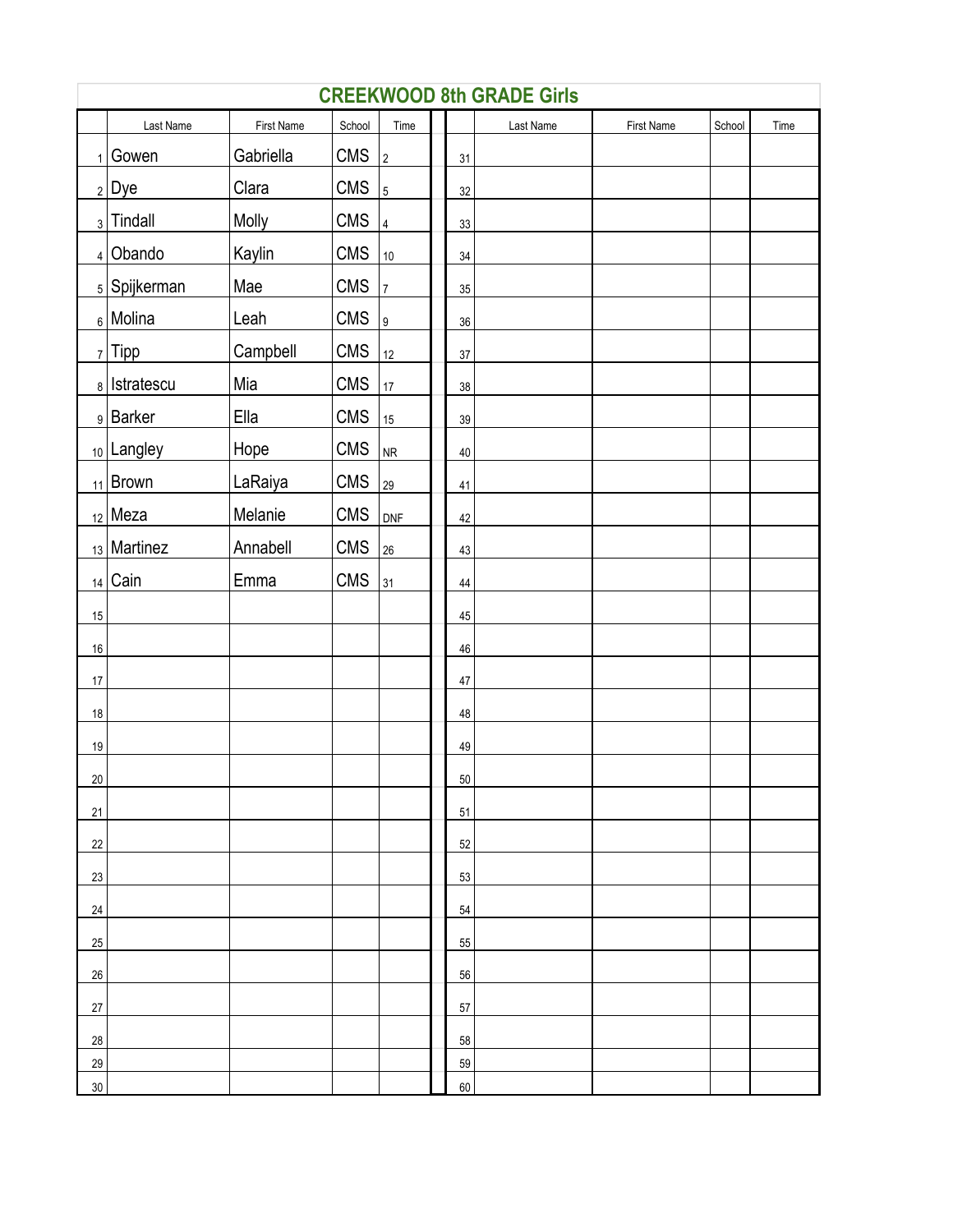|        | <b>CREEKWOOD 8th GRADE Girls</b> |            |            |                      |  |        |           |            |        |      |  |  |
|--------|----------------------------------|------------|------------|----------------------|--|--------|-----------|------------|--------|------|--|--|
|        | Last Name                        | First Name | School     | Time                 |  |        | Last Name | First Name | School | Time |  |  |
| 1      | Gowen                            | Gabriella  | <b>CMS</b> | $\vert$ <sub>2</sub> |  | 31     |           |            |        |      |  |  |
|        | $2$ Dye                          | Clara      | <b>CMS</b> | $\vert$ 5            |  | 32     |           |            |        |      |  |  |
|        | $_3$ Tindall                     | Molly      | <b>CMS</b> | $ 4\rangle$          |  | 33     |           |            |        |      |  |  |
|        | $4$ Obando                       | Kaylin     | <b>CMS</b> | 10                   |  | 34     |           |            |        |      |  |  |
|        | <sub>5</sub> Spijkerman          | Mae        | <b>CMS</b> | $ 7\rangle$          |  | 35     |           |            |        |      |  |  |
|        | $_6$ Molina                      | Leah       | <b>CMS</b> | $\vert$ 9            |  | 36     |           |            |        |      |  |  |
|        | $7$ Tipp                         | Campbell   | <b>CMS</b> | 12                   |  | 37     |           |            |        |      |  |  |
|        | 8   Istratescu                   | Mia        | <b>CMS</b> | 17                   |  | $38\,$ |           |            |        |      |  |  |
|        | 9 Barker                         | Ella       | <b>CMS</b> | 15                   |  | 39     |           |            |        |      |  |  |
|        | 10 Langley                       | Hope       | <b>CMS</b> | NR                   |  | $40\,$ |           |            |        |      |  |  |
|        | $_{11}$   Brown                  | LaRaiya    | <b>CMS</b> | 29                   |  | 41     |           |            |        |      |  |  |
|        | $_{12}$ Meza                     | Melanie    | <b>CMS</b> | DNF                  |  | 42     |           |            |        |      |  |  |
|        | $_{13}$ Martinez                 | Annabell   | <b>CMS</b> | 26                   |  | 43     |           |            |        |      |  |  |
| 14     | Cain                             | Emma       | <b>CMS</b> | 31                   |  | 44     |           |            |        |      |  |  |
| 15     |                                  |            |            |                      |  | 45     |           |            |        |      |  |  |
| $16\,$ |                                  |            |            |                      |  | 46     |           |            |        |      |  |  |
| $17\,$ |                                  |            |            |                      |  | $47\,$ |           |            |        |      |  |  |
| $18\,$ |                                  |            |            |                      |  | 48     |           |            |        |      |  |  |
| $19$   |                                  |            |            |                      |  | 49     |           |            |        |      |  |  |
| 20     |                                  |            |            |                      |  | 50     |           |            |        |      |  |  |
| 21     |                                  |            |            |                      |  | 51     |           |            |        |      |  |  |
| 22     |                                  |            |            |                      |  | 52     |           |            |        |      |  |  |
| 23     |                                  |            |            |                      |  | 53     |           |            |        |      |  |  |
| 24     |                                  |            |            |                      |  | 54     |           |            |        |      |  |  |
| 25     |                                  |            |            |                      |  | 55     |           |            |        |      |  |  |
| 26     |                                  |            |            |                      |  | 56     |           |            |        |      |  |  |
| 27     |                                  |            |            |                      |  | 57     |           |            |        |      |  |  |
| 28     |                                  |            |            |                      |  | 58     |           |            |        |      |  |  |
| 29     |                                  |            |            |                      |  | 59     |           |            |        |      |  |  |
| 30     |                                  |            |            |                      |  | 60     |           |            |        |      |  |  |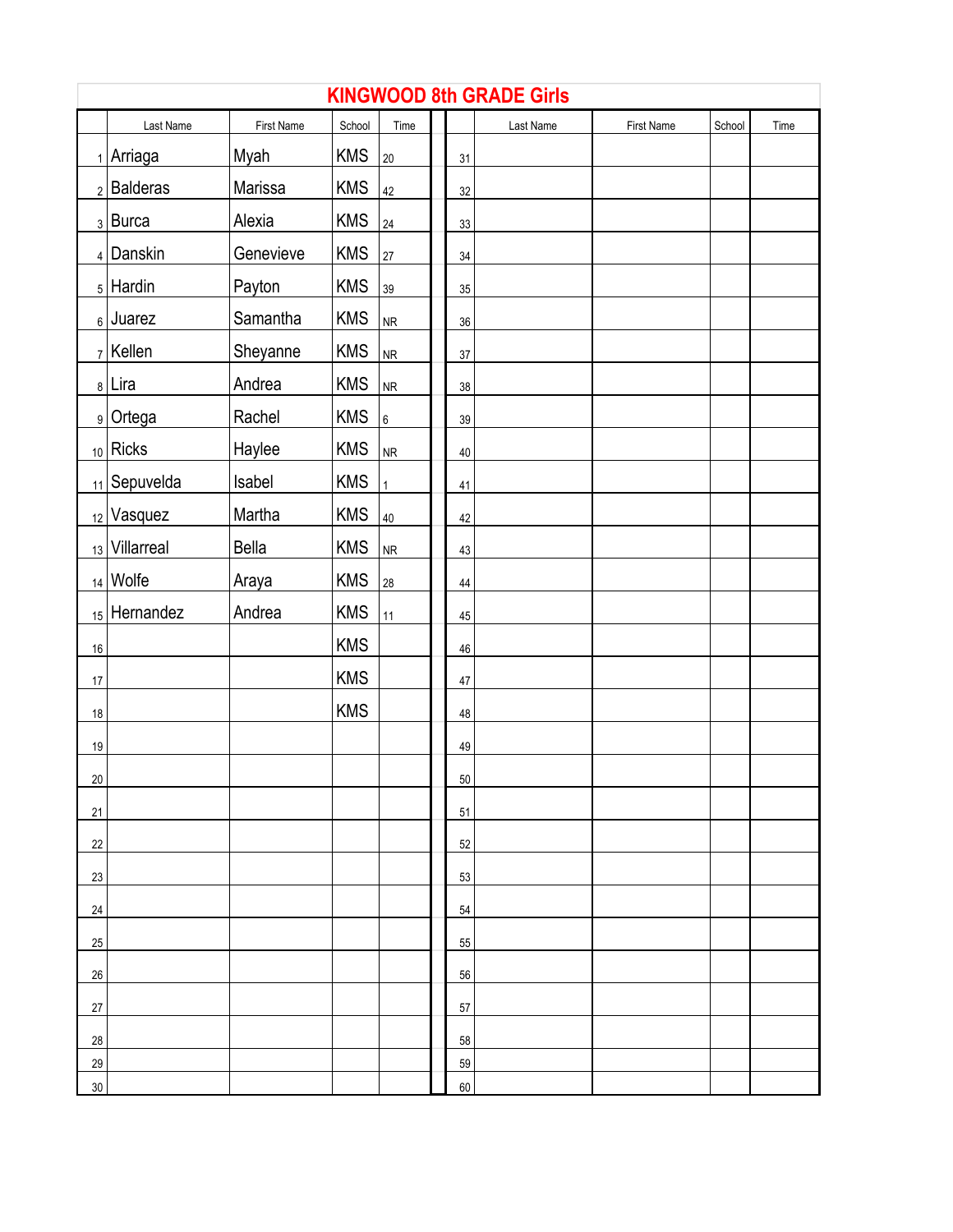|        | <b>KINGWOOD 8th GRADE Girls</b> |              |            |                 |  |        |           |            |        |      |  |  |  |
|--------|---------------------------------|--------------|------------|-----------------|--|--------|-----------|------------|--------|------|--|--|--|
|        | Last Name                       | First Name   | School     | Time            |  |        | Last Name | First Name | School | Time |  |  |  |
|        | $_1$ Arriaga                    | Myah         | <b>KMS</b> | 20              |  | 31     |           |            |        |      |  |  |  |
|        | $2$ Balderas                    | Marissa      | <b>KMS</b> | 42              |  | 32     |           |            |        |      |  |  |  |
|        | $3$ Burca                       | Alexia       | <b>KMS</b> | 24              |  | 33     |           |            |        |      |  |  |  |
|        | 4 Danskin                       | Genevieve    | <b>KMS</b> | 27              |  | $34\,$ |           |            |        |      |  |  |  |
|        | $_5$ Hardin                     | Payton       | <b>KMS</b> | 39              |  | 35     |           |            |        |      |  |  |  |
|        | $_6$ Juarez                     | Samantha     | <b>KMS</b> | <b>NR</b>       |  | $36\,$ |           |            |        |      |  |  |  |
|        | $7$ Kellen                      | Sheyanne     | <b>KMS</b> | <b>NR</b>       |  | $37\,$ |           |            |        |      |  |  |  |
|        | 8 Lira                          | Andrea       | <b>KMS</b> | NR              |  | $38\,$ |           |            |        |      |  |  |  |
|        | 9 Ortega                        | Rachel       | <b>KMS</b> | $6\overline{6}$ |  | 39     |           |            |        |      |  |  |  |
|        | $_{10}$ Ricks                   | Haylee       | <b>KMS</b> | <b>NR</b>       |  | $40\,$ |           |            |        |      |  |  |  |
|        | $_{11}$ Sepuvelda               | Isabel       | <b>KMS</b> | $\mathbf{1}$    |  | 41     |           |            |        |      |  |  |  |
|        | 12 Vasquez                      | Martha       | <b>KMS</b> | 40              |  | 42     |           |            |        |      |  |  |  |
|        | 13 Villarreal                   | <b>Bella</b> | <b>KMS</b> | NR              |  | 43     |           |            |        |      |  |  |  |
|        | $14$ Wolfe                      | Araya        | <b>KMS</b> | 28              |  | $44\,$ |           |            |        |      |  |  |  |
|        | 15 Hernandez                    | Andrea       | <b>KMS</b> | 11              |  | 45     |           |            |        |      |  |  |  |
| 16     |                                 |              | <b>KMS</b> |                 |  | 46     |           |            |        |      |  |  |  |
| $17\,$ |                                 |              | <b>KMS</b> |                 |  | 47     |           |            |        |      |  |  |  |
| 18     |                                 |              | <b>KMS</b> |                 |  | 48     |           |            |        |      |  |  |  |
| 19     |                                 |              |            |                 |  | 49     |           |            |        |      |  |  |  |
| 20     |                                 |              |            |                 |  | 50     |           |            |        |      |  |  |  |
| 21     |                                 |              |            |                 |  | 51     |           |            |        |      |  |  |  |
| 22     |                                 |              |            |                 |  | 52     |           |            |        |      |  |  |  |
| 23     |                                 |              |            |                 |  | 53     |           |            |        |      |  |  |  |
| 24     |                                 |              |            |                 |  | 54     |           |            |        |      |  |  |  |
| 25     |                                 |              |            |                 |  | 55     |           |            |        |      |  |  |  |
| 26     |                                 |              |            |                 |  | 56     |           |            |        |      |  |  |  |
| 27     |                                 |              |            |                 |  | 57     |           |            |        |      |  |  |  |
| 28     |                                 |              |            |                 |  | 58     |           |            |        |      |  |  |  |
| 29     |                                 |              |            |                 |  | 59     |           |            |        |      |  |  |  |
| 30     |                                 |              |            |                 |  | 60     |           |            |        |      |  |  |  |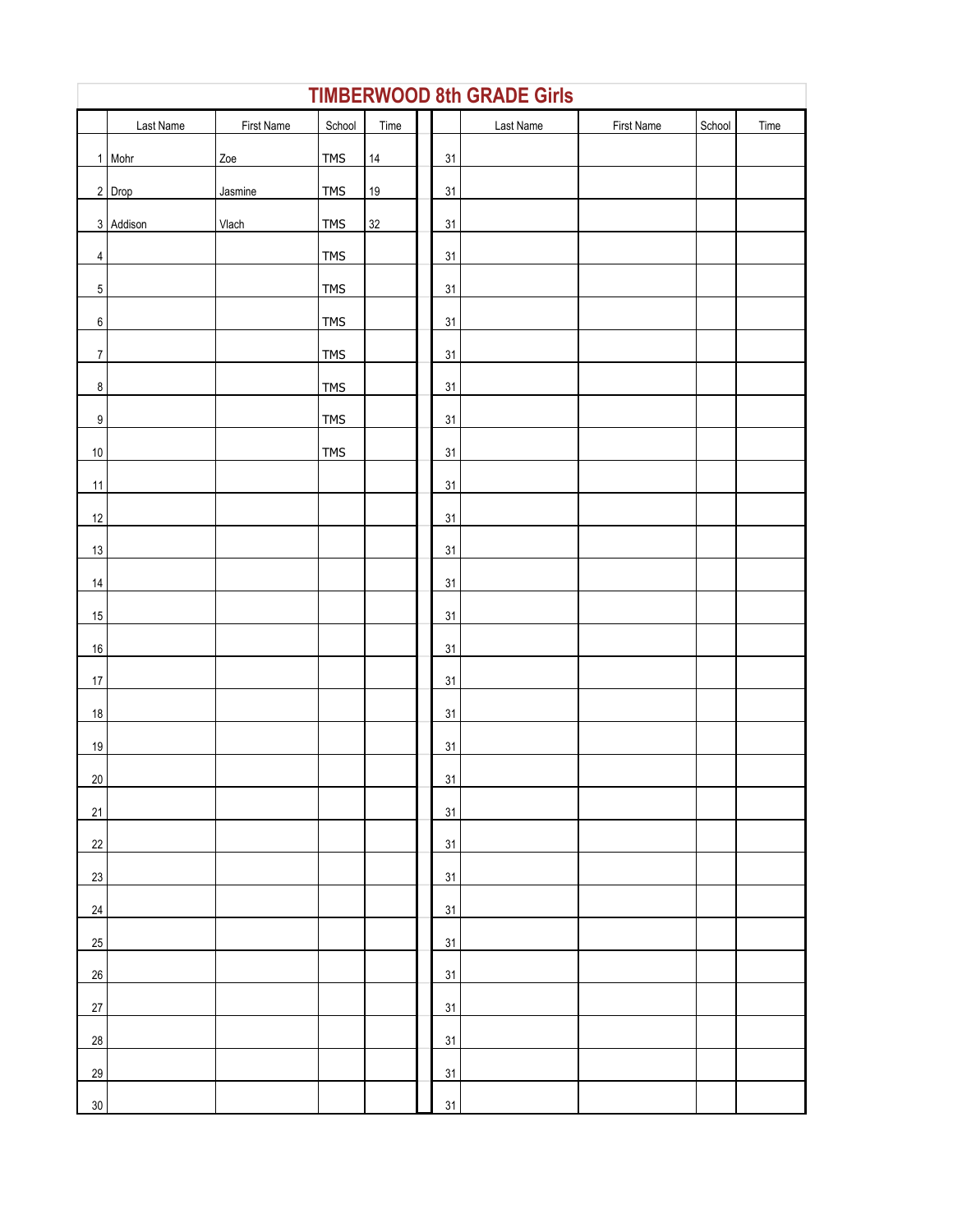|                  | <b>TIMBERWOOD 8th GRADE Girls</b> |            |            |        |  |    |           |            |        |      |  |  |
|------------------|-----------------------------------|------------|------------|--------|--|----|-----------|------------|--------|------|--|--|
|                  | Last Name                         | First Name | School     | Time   |  |    | Last Name | First Name | School | Time |  |  |
|                  | 1 Mohr                            | Zoe        | <b>TMS</b> | 14     |  | 31 |           |            |        |      |  |  |
|                  | 2 Drop                            | Jasmine    | <b>TMS</b> | $19$   |  | 31 |           |            |        |      |  |  |
|                  | 3 Addison                         | Vlach      | <b>TMS</b> | $32\,$ |  | 31 |           |            |        |      |  |  |
| $\overline{4}$   |                                   |            | <b>TMS</b> |        |  | 31 |           |            |        |      |  |  |
| $\mathbf 5$      |                                   |            | <b>TMS</b> |        |  | 31 |           |            |        |      |  |  |
| $\,6\,$          |                                   |            | <b>TMS</b> |        |  | 31 |           |            |        |      |  |  |
| $\overline{7}$   |                                   |            | <b>TMS</b> |        |  | 31 |           |            |        |      |  |  |
| $\bf 8$          |                                   |            | <b>TMS</b> |        |  | 31 |           |            |        |      |  |  |
| $\boldsymbol{9}$ |                                   |            | <b>TMS</b> |        |  | 31 |           |            |        |      |  |  |
| $10\,$           |                                   |            | <b>TMS</b> |        |  | 31 |           |            |        |      |  |  |
| 11               |                                   |            |            |        |  | 31 |           |            |        |      |  |  |
| 12               |                                   |            |            |        |  | 31 |           |            |        |      |  |  |
| 13               |                                   |            |            |        |  | 31 |           |            |        |      |  |  |
| $14$             |                                   |            |            |        |  | 31 |           |            |        |      |  |  |
| 15               |                                   |            |            |        |  | 31 |           |            |        |      |  |  |
| $16\,$           |                                   |            |            |        |  | 31 |           |            |        |      |  |  |
| 17               |                                   |            |            |        |  | 31 |           |            |        |      |  |  |
| $18\,$           |                                   |            |            |        |  | 31 |           |            |        |      |  |  |
| 19               |                                   |            |            |        |  | 31 |           |            |        |      |  |  |
| 20 <sup>°</sup>  |                                   |            |            |        |  | 31 |           |            |        |      |  |  |
| 21               |                                   |            |            |        |  | 31 |           |            |        |      |  |  |
| 22               |                                   |            |            |        |  | 31 |           |            |        |      |  |  |
| 23               |                                   |            |            |        |  | 31 |           |            |        |      |  |  |
| 24               |                                   |            |            |        |  | 31 |           |            |        |      |  |  |
| 25               |                                   |            |            |        |  | 31 |           |            |        |      |  |  |
| 26               |                                   |            |            |        |  | 31 |           |            |        |      |  |  |
| 27               |                                   |            |            |        |  | 31 |           |            |        |      |  |  |
| 28               |                                   |            |            |        |  | 31 |           |            |        |      |  |  |
| 29               |                                   |            |            |        |  | 31 |           |            |        |      |  |  |
| $30\,$           |                                   |            |            |        |  | 31 |           |            |        |      |  |  |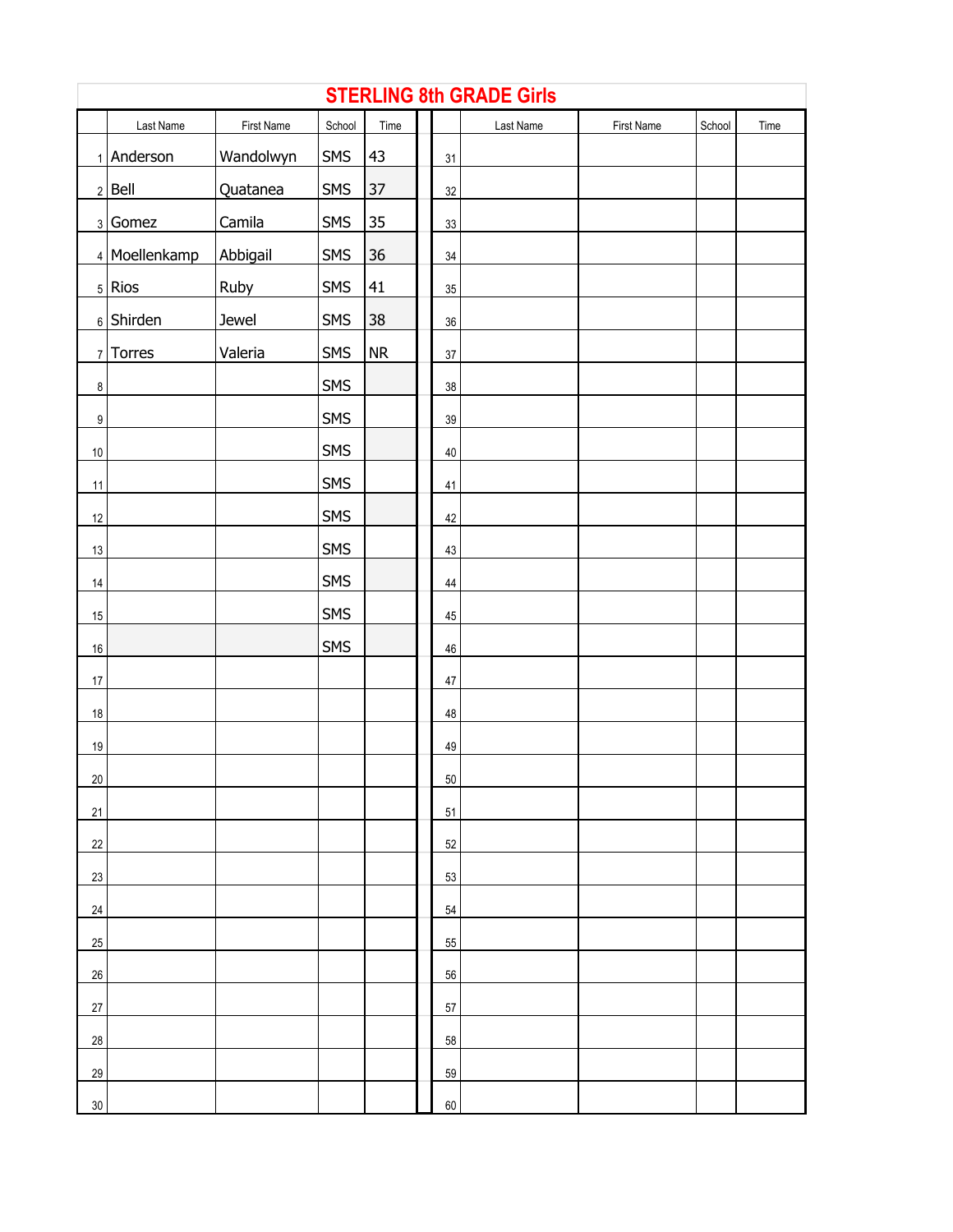|                  | <b>STERLING 8th GRADE Girls</b> |            |            |            |  |        |           |            |        |      |  |  |  |
|------------------|---------------------------------|------------|------------|------------|--|--------|-----------|------------|--------|------|--|--|--|
|                  | Last Name                       | First Name | School     | Time       |  |        | Last Name | First Name | School | Time |  |  |  |
|                  | 1 Anderson                      | Wandolwyn  | SMS        | 43         |  | 31     |           |            |        |      |  |  |  |
|                  | $2$ Bell                        | Quatanea   | SMS        | $37\,$     |  | $32\,$ |           |            |        |      |  |  |  |
|                  | 3 Gomez                         | Camila     | SMS        | 35         |  | 33     |           |            |        |      |  |  |  |
|                  | 4 Moellenkamp                   | Abbigail   | SMS        | $36\,$     |  | 34     |           |            |        |      |  |  |  |
|                  | $5$ Rios                        | Ruby       | <b>SMS</b> | 41         |  | $35\,$ |           |            |        |      |  |  |  |
|                  | $6$ Shirden                     | Jewel      | SMS        | 38         |  | 36     |           |            |        |      |  |  |  |
|                  | 7 Torres                        | Valeria    | SMS        | ${\sf NR}$ |  | $37\,$ |           |            |        |      |  |  |  |
| $\boldsymbol{8}$ |                                 |            | SMS        |            |  | $38\,$ |           |            |        |      |  |  |  |
| $\boldsymbol{9}$ |                                 |            | <b>SMS</b> |            |  | $39\,$ |           |            |        |      |  |  |  |
| 10               |                                 |            | <b>SMS</b> |            |  | $40\,$ |           |            |        |      |  |  |  |
| 11               |                                 |            | <b>SMS</b> |            |  | 41     |           |            |        |      |  |  |  |
| 12               |                                 |            | <b>SMS</b> |            |  | 42     |           |            |        |      |  |  |  |
| 13               |                                 |            | <b>SMS</b> |            |  | 43     |           |            |        |      |  |  |  |
| 14               |                                 |            | SMS        |            |  | $44\,$ |           |            |        |      |  |  |  |
| $15\,$           |                                 |            | <b>SMS</b> |            |  | $45\,$ |           |            |        |      |  |  |  |
| 16               |                                 |            | SMS        |            |  | $46\,$ |           |            |        |      |  |  |  |
| $17\,$           |                                 |            |            |            |  | $47\,$ |           |            |        |      |  |  |  |
| 18               |                                 |            |            |            |  | 48     |           |            |        |      |  |  |  |
| 19               |                                 |            |            |            |  | 49     |           |            |        |      |  |  |  |
| 20 <sup>°</sup>  |                                 |            |            |            |  | 50     |           |            |        |      |  |  |  |
| 21               |                                 |            |            |            |  | 51     |           |            |        |      |  |  |  |
| 22               |                                 |            |            |            |  | 52     |           |            |        |      |  |  |  |
| 23               |                                 |            |            |            |  | 53     |           |            |        |      |  |  |  |
| 24               |                                 |            |            |            |  | 54     |           |            |        |      |  |  |  |
| 25               |                                 |            |            |            |  | 55     |           |            |        |      |  |  |  |
| 26               |                                 |            |            |            |  | 56     |           |            |        |      |  |  |  |
| 27               |                                 |            |            |            |  | 57     |           |            |        |      |  |  |  |
| 28               |                                 |            |            |            |  | 58     |           |            |        |      |  |  |  |
| 29               |                                 |            |            |            |  | 59     |           |            |        |      |  |  |  |
| 30               |                                 |            |            |            |  | 60     |           |            |        |      |  |  |  |